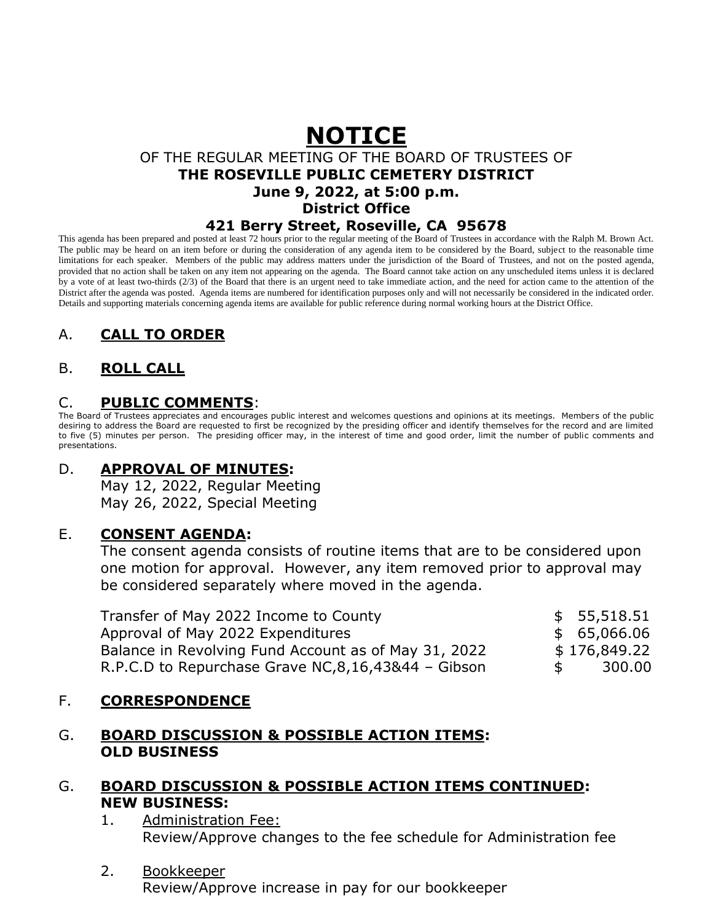## **NOTICE** OF THE REGULAR MEETING OF THE BOARD OF TRUSTEES OF **THE ROSEVILLE PUBLIC CEMETERY DISTRICT June 9, 2022, at 5:00 p.m. District Office 421 Berry Street, Roseville, CA 95678**

This agenda has been prepared and posted at least 72 hours prior to the regular meeting of the Board of Trustees in accordance with the Ralph M. Brown Act. The public may be heard on an item before or during the consideration of any agenda item to be considered by the Board, subject to the reasonable time limitations for each speaker. Members of the public may address matters under the jurisdiction of the Board of Trustees, and not on the posted agenda, provided that no action shall be taken on any item not appearing on the agenda. The Board cannot take action on any unscheduled items unless it is declared by a vote of at least two-thirds (2/3) of the Board that there is an urgent need to take immediate action, and the need for action came to the attention of the District after the agenda was posted. Agenda items are numbered for identification purposes only and will not necessarily be considered in the indicated order. Details and supporting materials concerning agenda items are available for public reference during normal working hours at the District Office.

# A. **CALL TO ORDER**

## B. **ROLL CALL**

### C. **PUBLIC COMMENTS**:

The Board of Trustees appreciates and encourages public interest and welcomes questions and opinions at its meetings. Members of the public desiring to address the Board are requested to first be recognized by the presiding officer and identify themselves for the record and are limited to five (5) minutes per person. The presiding officer may, in the interest of time and good order, limit the number of public comments and presentations.

### D. **APPROVAL OF MINUTES:**

May 12, 2022, Regular Meeting May 26, 2022, Special Meeting

#### E. **CONSENT AGENDA:**

The consent agenda consists of routine items that are to be considered upon one motion for approval. However, any item removed prior to approval may be considered separately where moved in the agenda.

| Transfer of May 2022 Income to County                 |    | \$55,518.51  |
|-------------------------------------------------------|----|--------------|
| Approval of May 2022 Expenditures                     |    | \$65,066.06  |
| Balance in Revolving Fund Account as of May 31, 2022  |    | \$176,849.22 |
| R.P.C.D to Repurchase Grave NC, 8, 16, 43&44 - Gibson | S. | 300.00       |

### F. **CORRESPONDENCE**

#### G. **BOARD DISCUSSION & POSSIBLE ACTION ITEMS: OLD BUSINESS**

### G. **BOARD DISCUSSION & POSSIBLE ACTION ITEMS CONTINUED: NEW BUSINESS:**

#### 1. Administration Fee: Review/Approve changes to the fee schedule for Administration fee

#### 2. Bookkeeper

Review/Approve increase in pay for our bookkeeper